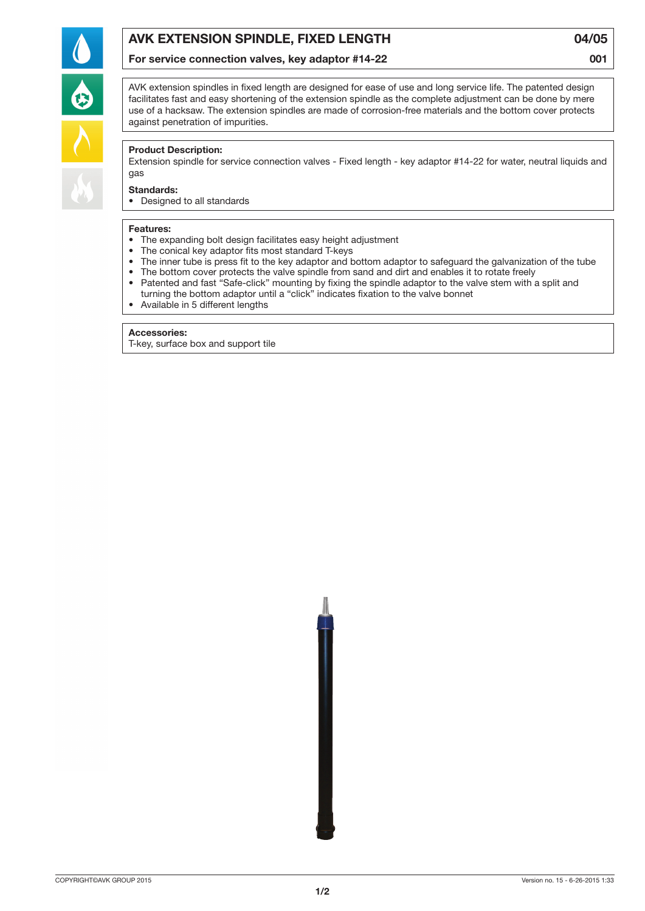

For service connection valves, key adaptor #14-22

04/05 001



AVK extension spindles in fixed length are designed for ease of use and long service life. The patented design facilitates fast and easy shortening of the extension spindle as the complete adjustment can be done by mere use of a hacksaw. The extension spindles are made of corrosion-free materials and the bottom cover protects against penetration of impurities.

## Product Description:

Extension spindle for service connection valves - Fixed length - key adaptor #14-22 for water, neutral liquids and gas

## Standards:

• Designed to all standards

#### Features:

- The expanding bolt design facilitates easy height adjustment
- The conical key adaptor fits most standard T-keys
- • The inner tube is press fit to the key adaptor and bottom adaptor to safeguard the galvanization of the tube
- The bottom cover protects the valve spindle from sand and dirt and enables it to rotate freely
- Patented and fast "Safe-click" mounting by fixing the spindle adaptor to the valve stem with a split and turning the bottom adaptor until a "click" indicates fixation to the valve bonnet
- • Available in 5 different lengths

#### Accessories:

T-key, surface box and support tile